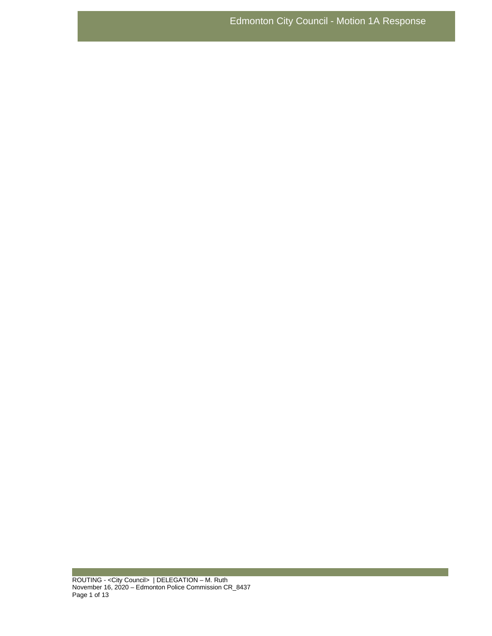ROUTING - <City Council> | DELEGATION – M. Ruth November 16, 2020 – Edmonton Police Commission CR\_8437 Page 1 of 13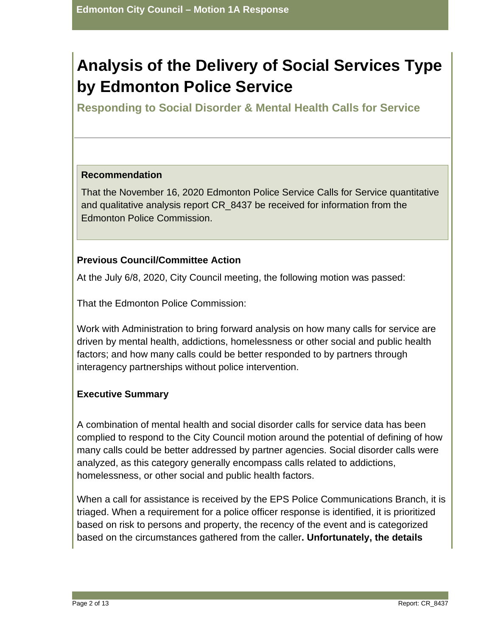# **Analysis of the Delivery of Social Services Type by Edmonton Police Service**

**Responding to Social Disorder & Mental Health Calls for Service**

# **Recommendation**

That the November 16, 2020 Edmonton Police Service Calls for Service quantitative and qualitative analysis report CR\_8437 be received for information from the Edmonton Police Commission.

# **Previous Council/Committee Action**

At the July 6/8, 2020, City Council meeting, the following motion was passed:

That the Edmonton Police Commission:

Work with Administration to bring forward analysis on how many calls for service are driven by mental health, addictions, homelessness or other social and public health factors; and how many calls could be better responded to by partners through interagency partnerships without police intervention.

# **Executive Summary**

A combination of mental health and social disorder calls for service data has been complied to respond to the City Council motion around the potential of defining of how many calls could be better addressed by partner agencies. Social disorder calls were analyzed, as this category generally encompass calls related to addictions, homelessness, or other social and public health factors.

When a call for assistance is received by the EPS Police Communications Branch, it is triaged. When a requirement for a police officer response is identified, it is prioritized based on risk to persons and property, the recency of the event and is categorized based on the circumstances gathered from the caller**. Unfortunately, the details**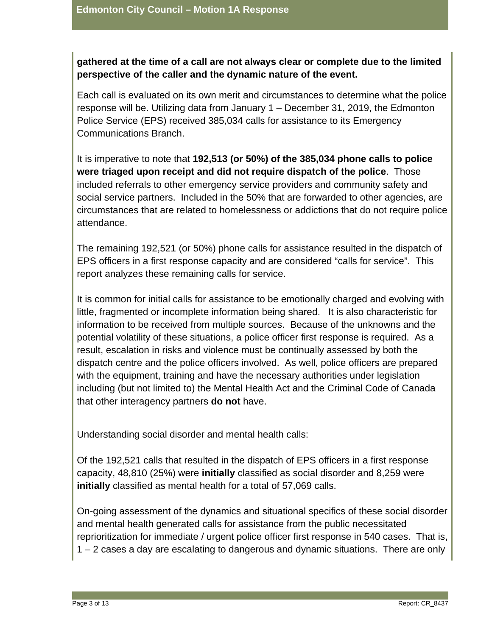# **gathered at the time of a call are not always clear or complete due to the limited perspective of the caller and the dynamic nature of the event.**

Each call is evaluated on its own merit and circumstances to determine what the police response will be. Utilizing data from January 1 – December 31, 2019, the Edmonton Police Service (EPS) received 385,034 calls for assistance to its Emergency Communications Branch.

It is imperative to note that **192,513 (or 50%) of the 385,034 phone calls to police were triaged upon receipt and did not require dispatch of the police**. Those included referrals to other emergency service providers and community safety and social service partners. Included in the 50% that are forwarded to other agencies, are circumstances that are related to homelessness or addictions that do not require police attendance.

The remaining 192,521 (or 50%) phone calls for assistance resulted in the dispatch of EPS officers in a first response capacity and are considered "calls for service". This report analyzes these remaining calls for service.

It is common for initial calls for assistance to be emotionally charged and evolving with little, fragmented or incomplete information being shared. It is also characteristic for information to be received from multiple sources. Because of the unknowns and the potential volatility of these situations, a police officer first response is required. As a result, escalation in risks and violence must be continually assessed by both the dispatch centre and the police officers involved. As well, police officers are prepared with the equipment, training and have the necessary authorities under legislation including (but not limited to) the Mental Health Act and the Criminal Code of Canada that other interagency partners **do not** have.

Understanding social disorder and mental health calls:

Of the 192,521 calls that resulted in the dispatch of EPS officers in a first response capacity, 48,810 (25%) were **initially** classified as social disorder and 8,259 were **initially** classified as mental health for a total of 57,069 calls.

On-going assessment of the dynamics and situational specifics of these social disorder and mental health generated calls for assistance from the public necessitated reprioritization for immediate / urgent police officer first response in 540 cases. That is, 1 – 2 cases a day are escalating to dangerous and dynamic situations. There are only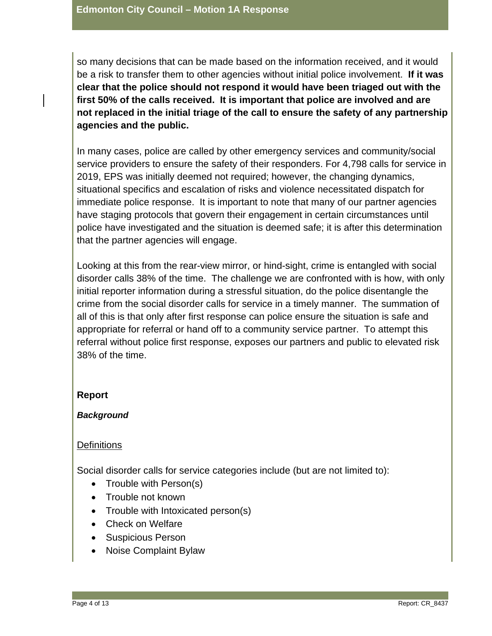so many decisions that can be made based on the information received, and it would be a risk to transfer them to other agencies without initial police involvement. **If it was clear that the police should not respond it would have been triaged out with the first 50% of the calls received. It is important that police are involved and are not replaced in the initial triage of the call to ensure the safety of any partnership agencies and the public.** 

In many cases, police are called by other emergency services and community/social service providers to ensure the safety of their responders. For 4,798 calls for service in 2019, EPS was initially deemed not required; however, the changing dynamics, situational specifics and escalation of risks and violence necessitated dispatch for immediate police response. It is important to note that many of our partner agencies have staging protocols that govern their engagement in certain circumstances until police have investigated and the situation is deemed safe; it is after this determination that the partner agencies will engage.

Looking at this from the rear-view mirror, or hind-sight, crime is entangled with social disorder calls 38% of the time. The challenge we are confronted with is how, with only initial reporter information during a stressful situation, do the police disentangle the crime from the social disorder calls for service in a timely manner. The summation of all of this is that only after first response can police ensure the situation is safe and appropriate for referral or hand off to a community service partner. To attempt this referral without police first response, exposes our partners and public to elevated risk 38% of the time.

#### **Report**

#### *Background*

#### **Definitions**

Social disorder calls for service categories include (but are not limited to):

- Trouble with Person(s)
- Trouble not known
- Trouble with Intoxicated person(s)
- Check on Welfare
- Suspicious Person
- Noise Complaint Bylaw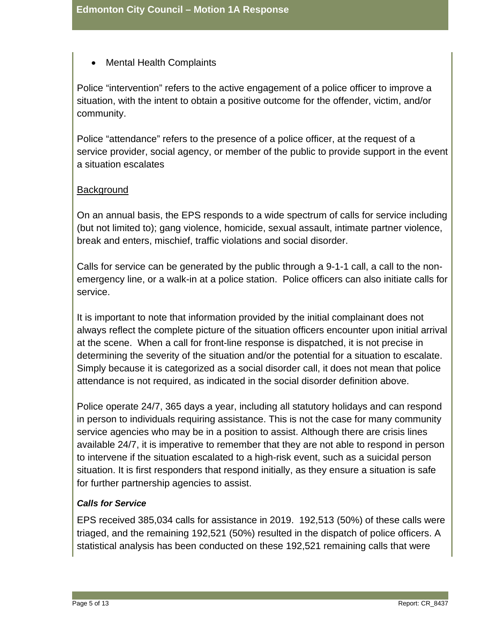• Mental Health Complaints

Police "intervention" refers to the active engagement of a police officer to improve a situation, with the intent to obtain a positive outcome for the offender, victim, and/or community.

Police "attendance" refers to the presence of a police officer, at the request of a service provider, social agency, or member of the public to provide support in the event a situation escalates

# **Background**

On an annual basis, the EPS responds to a wide spectrum of calls for service including (but not limited to); gang violence, homicide, sexual assault, intimate partner violence, break and enters, mischief, traffic violations and social disorder.

Calls for service can be generated by the public through a 9-1-1 call, a call to the nonemergency line, or a walk-in at a police station. Police officers can also initiate calls for service.

It is important to note that information provided by the initial complainant does not always reflect the complete picture of the situation officers encounter upon initial arrival at the scene. When a call for front-line response is dispatched, it is not precise in determining the severity of the situation and/or the potential for a situation to escalate. Simply because it is categorized as a social disorder call, it does not mean that police attendance is not required, as indicated in the social disorder definition above.

Police operate 24/7, 365 days a year, including all statutory holidays and can respond in person to individuals requiring assistance. This is not the case for many community service agencies who may be in a position to assist. Although there are crisis lines available 24/7, it is imperative to remember that they are not able to respond in person to intervene if the situation escalated to a high-risk event, such as a suicidal person situation. It is first responders that respond initially, as they ensure a situation is safe for further partnership agencies to assist.

# *Calls for Service*

EPS received 385,034 calls for assistance in 2019. 192,513 (50%) of these calls were triaged, and the remaining 192,521 (50%) resulted in the dispatch of police officers. A statistical analysis has been conducted on these 192,521 remaining calls that were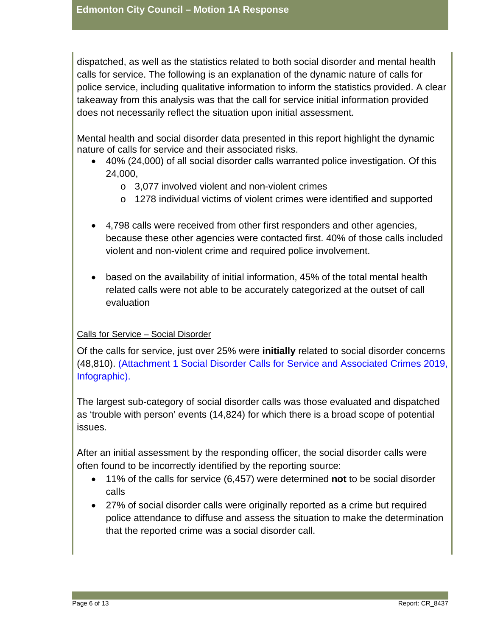dispatched, as well as the statistics related to both social disorder and mental health calls for service. The following is an explanation of the dynamic nature of calls for police service, including qualitative information to inform the statistics provided. A clear takeaway from this analysis was that the call for service initial information provided does not necessarily reflect the situation upon initial assessment.

Mental health and social disorder data presented in this report highlight the dynamic nature of calls for service and their associated risks.

- 40% (24,000) of all social disorder calls warranted police investigation. Of this 24,000,
	- o 3,077 involved violent and non-violent crimes
	- o 1278 individual victims of violent crimes were identified and supported
- 4,798 calls were received from other first responders and other agencies, because these other agencies were contacted first. 40% of those calls included violent and non-violent crime and required police involvement.
- based on the availability of initial information, 45% of the total mental health related calls were not able to be accurately categorized at the outset of call evaluation

# Calls for Service – Social Disorder

Of the calls for service, just over 25% were **initially** related to social disorder concerns (48,810). (Attachment 1 Social Disorder Calls for Service and Associated Crimes 2019, Infographic).

The largest sub-category of social disorder calls was those evaluated and dispatched as 'trouble with person' events (14,824) for which there is a broad scope of potential issues.

After an initial assessment by the responding officer, the social disorder calls were often found to be incorrectly identified by the reporting source:

- 11% of the calls for service (6,457) were determined **not** to be social disorder calls
- 27% of social disorder calls were originally reported as a crime but required police attendance to diffuse and assess the situation to make the determination that the reported crime was a social disorder call.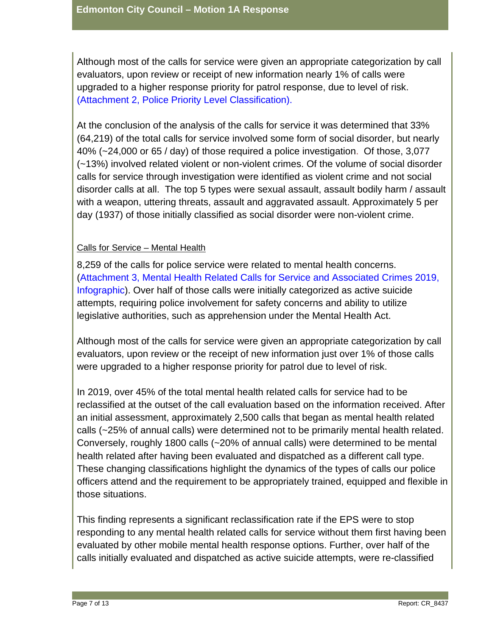Although most of the calls for service were given an appropriate categorization by call evaluators, upon review or receipt of new information nearly 1% of calls were upgraded to a higher response priority for patrol response, due to level of risk. (Attachment 2, Police Priority Level Classification).

At the conclusion of the analysis of the calls for service it was determined that 33% (64,219) of the total calls for service involved some form of social disorder, but nearly 40% (~24,000 or 65 / day) of those required a police investigation. Of those, 3,077 (~13%) involved related violent or non-violent crimes. Of the volume of social disorder calls for service through investigation were identified as violent crime and not social disorder calls at all. The top 5 types were sexual assault, assault bodily harm / assault with a weapon, uttering threats, assault and aggravated assault. Approximately 5 per day (1937) of those initially classified as social disorder were non-violent crime.

#### Calls for Service – Mental Health

8,259 of the calls for police service were related to mental health concerns. (Attachment 3, Mental Health Related Calls for Service and Associated Crimes 2019, Infographic). Over half of those calls were initially categorized as active suicide attempts, requiring police involvement for safety concerns and ability to utilize legislative authorities, such as apprehension under the Mental Health Act.

Although most of the calls for service were given an appropriate categorization by call evaluators, upon review or the receipt of new information just over 1% of those calls were upgraded to a higher response priority for patrol due to level of risk.

In 2019, over 45% of the total mental health related calls for service had to be reclassified at the outset of the call evaluation based on the information received. After an initial assessment, approximately 2,500 calls that began as mental health related calls (~25% of annual calls) were determined not to be primarily mental health related. Conversely, roughly 1800 calls (~20% of annual calls) were determined to be mental health related after having been evaluated and dispatched as a different call type. These changing classifications highlight the dynamics of the types of calls our police officers attend and the requirement to be appropriately trained, equipped and flexible in those situations.

This finding represents a significant reclassification rate if the EPS were to stop responding to any mental health related calls for service without them first having been evaluated by other mobile mental health response options. Further, over half of the calls initially evaluated and dispatched as active suicide attempts, were re-classified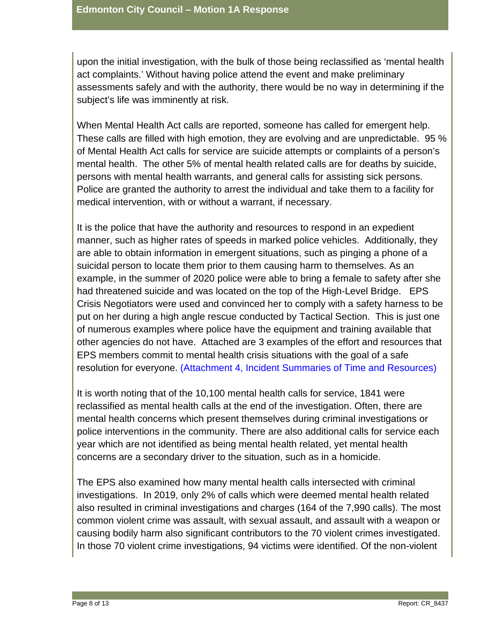upon the initial investigation, with the bulk of those being reclassified as 'mental health act complaints.' Without having police attend the event and make preliminary assessments safely and with the authority, there would be no way in determining if the subject's life was imminently at risk.

When Mental Health Act calls are reported, someone has called for emergent help. These calls are filled with high emotion, they are evolving and are unpredictable. 95 % of Mental Health Act calls for service are suicide attempts or complaints of a person's mental health. The other 5% of mental health related calls are for deaths by suicide, persons with mental health warrants, and general calls for assisting sick persons. Police are granted the authority to arrest the individual and take them to a facility for medical intervention, with or without a warrant, if necessary.

It is the police that have the authority and resources to respond in an expedient manner, such as higher rates of speeds in marked police vehicles. Additionally, they are able to obtain information in emergent situations, such as pinging a phone of a suicidal person to locate them prior to them causing harm to themselves. As an example, in the summer of 2020 police were able to bring a female to safety after she had threatened suicide and was located on the top of the High-Level Bridge. EPS Crisis Negotiators were used and convinced her to comply with a safety harness to be put on her during a high angle rescue conducted by Tactical Section. This is just one of numerous examples where police have the equipment and training available that other agencies do not have. Attached are 3 examples of the effort and resources that EPS members commit to mental health crisis situations with the goal of a safe resolution for everyone. (Attachment 4, Incident Summaries of Time and Resources)

It is worth noting that of the 10,100 mental health calls for service, 1841 were reclassified as mental health calls at the end of the investigation. Often, there are mental health concerns which present themselves during criminal investigations or police interventions in the community. There are also additional calls for service each year which are not identified as being mental health related, yet mental health concerns are a secondary driver to the situation, such as in a homicide.

The EPS also examined how many mental health calls intersected with criminal investigations. In 2019, only 2% of calls which were deemed mental health related also resulted in criminal investigations and charges (164 of the 7,990 calls). The most common violent crime was assault, with sexual assault, and assault with a weapon or causing bodily harm also significant contributors to the 70 violent crimes investigated. In those 70 violent crime investigations, 94 victims were identified. Of the non-violent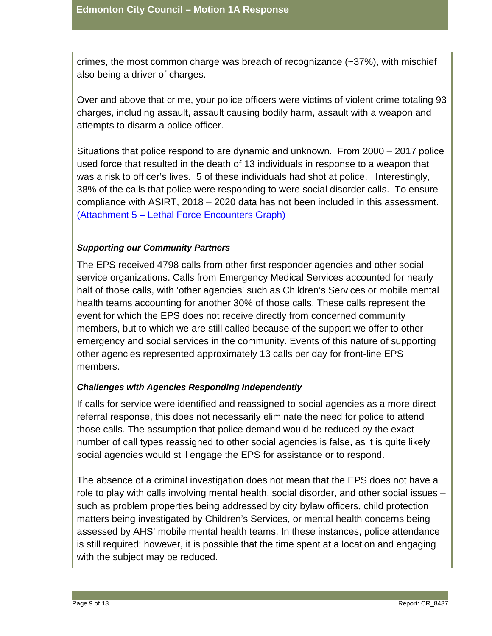crimes, the most common charge was breach of recognizance (~37%), with mischief also being a driver of charges.

Over and above that crime, your police officers were victims of violent crime totaling 93 charges, including assault, assault causing bodily harm, assault with a weapon and attempts to disarm a police officer.

Situations that police respond to are dynamic and unknown. From 2000 – 2017 police used force that resulted in the death of 13 individuals in response to a weapon that was a risk to officer's lives. 5 of these individuals had shot at police. Interestingly, 38% of the calls that police were responding to were social disorder calls. To ensure compliance with ASIRT, 2018 – 2020 data has not been included in this assessment. (Attachment 5 – Lethal Force Encounters Graph)

# *Supporting our Community Partners*

The EPS received 4798 calls from other first responder agencies and other social service organizations. Calls from Emergency Medical Services accounted for nearly half of those calls, with 'other agencies' such as Children's Services or mobile mental health teams accounting for another 30% of those calls. These calls represent the event for which the EPS does not receive directly from concerned community members, but to which we are still called because of the support we offer to other emergency and social services in the community. Events of this nature of supporting other agencies represented approximately 13 calls per day for front-line EPS members.

# *Challenges with Agencies Responding Independently*

If calls for service were identified and reassigned to social agencies as a more direct referral response, this does not necessarily eliminate the need for police to attend those calls. The assumption that police demand would be reduced by the exact number of call types reassigned to other social agencies is false, as it is quite likely social agencies would still engage the EPS for assistance or to respond.

The absence of a criminal investigation does not mean that the EPS does not have a role to play with calls involving mental health, social disorder, and other social issues – such as problem properties being addressed by city bylaw officers, child protection matters being investigated by Children's Services, or mental health concerns being assessed by AHS' mobile mental health teams. In these instances, police attendance is still required; however, it is possible that the time spent at a location and engaging with the subject may be reduced.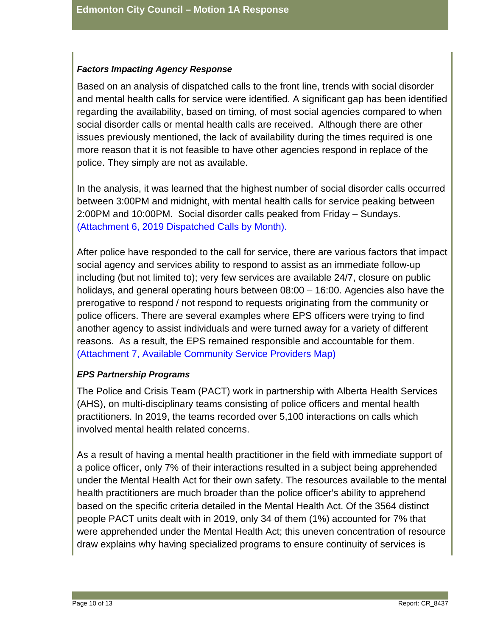#### *Factors Impacting Agency Response*

Based on an analysis of dispatched calls to the front line, trends with social disorder and mental health calls for service were identified. A significant gap has been identified regarding the availability, based on timing, of most social agencies compared to when social disorder calls or mental health calls are received. Although there are other issues previously mentioned, the lack of availability during the times required is one more reason that it is not feasible to have other agencies respond in replace of the police. They simply are not as available.

In the analysis, it was learned that the highest number of social disorder calls occurred between 3:00PM and midnight, with mental health calls for service peaking between 2:00PM and 10:00PM. Social disorder calls peaked from Friday – Sundays. (Attachment 6, 2019 Dispatched Calls by Month).

After police have responded to the call for service, there are various factors that impact social agency and services ability to respond to assist as an immediate follow-up including (but not limited to); very few services are available 24/7, closure on public holidays, and general operating hours between 08:00 – 16:00. Agencies also have the prerogative to respond / not respond to requests originating from the community or police officers. There are several examples where EPS officers were trying to find another agency to assist individuals and were turned away for a variety of different reasons. As a result, the EPS remained responsible and accountable for them. (Attachment 7, Available Community Service Providers Map)

# *EPS Partnership Programs*

The Police and Crisis Team (PACT) work in partnership with Alberta Health Services (AHS), on multi-disciplinary teams consisting of police officers and mental health practitioners. In 2019, the teams recorded over 5,100 interactions on calls which involved mental health related concerns.

As a result of having a mental health practitioner in the field with immediate support of a police officer, only 7% of their interactions resulted in a subject being apprehended under the Mental Health Act for their own safety. The resources available to the mental health practitioners are much broader than the police officer's ability to apprehend based on the specific criteria detailed in the Mental Health Act. Of the 3564 distinct people PACT units dealt with in 2019, only 34 of them (1%) accounted for 7% that were apprehended under the Mental Health Act; this uneven concentration of resource draw explains why having specialized programs to ensure continuity of services is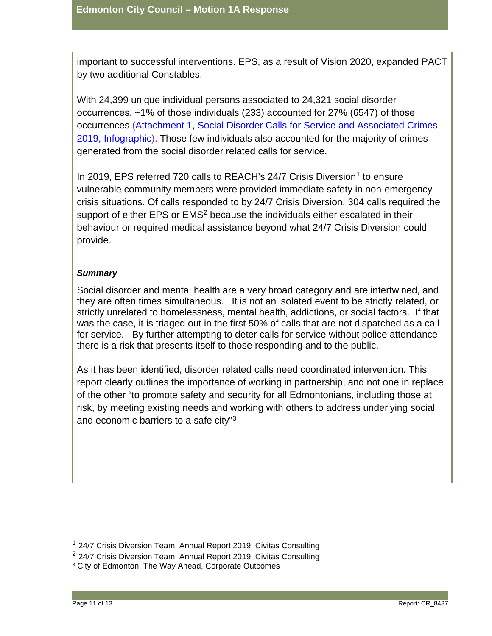important to successful interventions. EPS, as a result of Vision 2020, expanded PACT by two additional Constables.

With 24,399 unique individual persons associated to 24,321 social disorder occurrences, ~1% of those individuals (233) accounted for 27% (6547) of those occurrences (Attachment 1, Social Disorder Calls for Service and Associated Crimes 2019, Infographic). Those few individuals also accounted for the majority of crimes generated from the social disorder related calls for service.

In 20[1](#page-10-0)9, EPS referred 720 calls to REACH's 24/7 Crisis Diversion<sup>1</sup> to ensure vulnerable community members were provided immediate safety in non-emergency crisis situations. Of calls responded to by 24/7 Crisis Diversion, 304 calls required the support of either EPS or EMS<sup>[2](#page-10-1)</sup> because the individuals either escalated in their behaviour or required medical assistance beyond what 24/7 Crisis Diversion could provide.

#### *Summary*

Social disorder and mental health are a very broad category and are intertwined, and they are often times simultaneous. It is not an isolated event to be strictly related, or strictly unrelated to homelessness, mental health, addictions, or social factors. If that was the case, it is triaged out in the first 50% of calls that are not dispatched as a call for service. By further attempting to deter calls for service without police attendance there is a risk that presents itself to those responding and to the public.

As it has been identified, disorder related calls need coordinated intervention. This report clearly outlines the importance of working in partnership, and not one in replace of the other "to promote safety and security for all Edmontonians, including those at risk, by meeting existing needs and working with others to address underlying social and economic barriers to a safe city"[3](#page-10-2)

<span id="page-10-0"></span><sup>&</sup>lt;sup>1</sup> 24/7 Crisis Diversion Team, Annual Report 2019, Civitas Consulting

<span id="page-10-1"></span> $2$  24/7 Crisis Diversion Team, Annual Report 2019, Civitas Consulting

<span id="page-10-2"></span><sup>&</sup>lt;sup>3</sup> City of Edmonton, The Way Ahead, Corporate Outcomes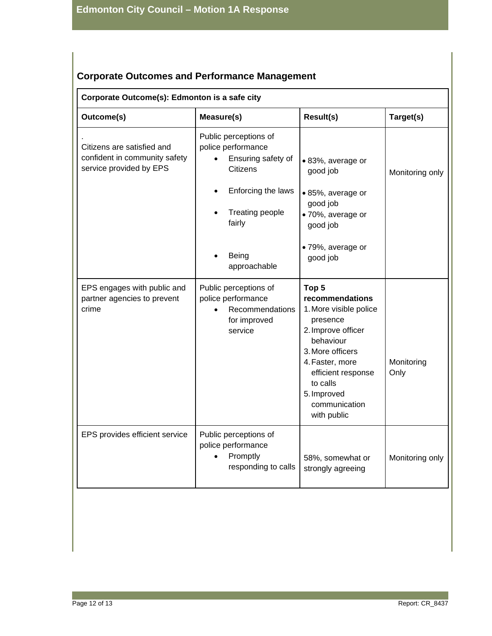# **Corporate Outcomes and Performance Management**

# **Corporate Outcome(s): Edmonton is a safe city**

| Outcome(s)                                                                             | <b>Measure(s)</b>                                                                                                                                                | <b>Result(s)</b>                                                                                                                                                                                                                     | Target(s)          |
|----------------------------------------------------------------------------------------|------------------------------------------------------------------------------------------------------------------------------------------------------------------|--------------------------------------------------------------------------------------------------------------------------------------------------------------------------------------------------------------------------------------|--------------------|
| Citizens are satisfied and<br>confident in community safety<br>service provided by EPS | Public perceptions of<br>police performance<br>Ensuring safety of<br><b>Citizens</b><br>Enforcing the laws<br>Treating people<br>fairly<br>Being<br>approachable | · 83%, average or<br>good job<br>• 85%, average or<br>good job<br>· 70%, average or<br>good job<br>· 79%, average or<br>good job                                                                                                     | Monitoring only    |
| EPS engages with public and<br>partner agencies to prevent<br>crime                    | Public perceptions of<br>police performance<br>Recommendations<br>for improved<br>service                                                                        | Top <sub>5</sub><br>recommendations<br>1. More visible police<br>presence<br>2. Improve officer<br>behaviour<br>3. More officers<br>4. Faster, more<br>efficient response<br>to calls<br>5. Improved<br>communication<br>with public | Monitoring<br>Only |
| EPS provides efficient service                                                         | Public perceptions of<br>police performance<br>Promptly<br>responding to calls                                                                                   | 58%, somewhat or<br>strongly agreeing                                                                                                                                                                                                | Monitoring only    |